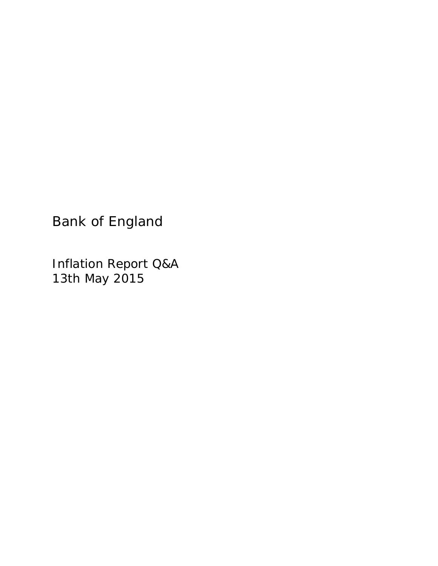Bank of England

Inflation Report Q&A 13th May 2015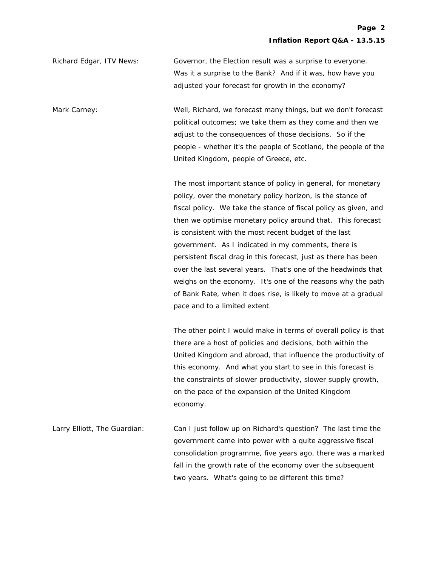Richard Edgar, ITV News: Governor, the Election result was a surprise to everyone. Was it a surprise to the Bank? And if it was, how have you adjusted your forecast for growth in the economy?

Mark Carney: Well, Richard, we forecast many things, but we don't forecast political outcomes; we take them as they come and then we adjust to the consequences of those decisions. So if the people - whether it's the people of Scotland, the people of the United Kingdom, people of Greece, etc.

> The most important stance of policy in general, for monetary policy, over the monetary policy horizon, is the stance of fiscal policy. We take the stance of fiscal policy as given, and then we optimise monetary policy around that. This forecast is consistent with the most recent budget of the last government. As I indicated in my comments, there is persistent fiscal drag in this forecast, just as there has been over the last several years. That's one of the headwinds that weighs on the economy. It's one of the reasons why the path of Bank Rate, when it does rise, is likely to move at a gradual pace and to a limited extent.

> The other point I would make in terms of overall policy is that there are a host of policies and decisions, both within the United Kingdom and abroad, that influence the productivity of this economy. And what you start to see in this forecast is the constraints of slower productivity, slower supply growth, on the pace of the expansion of the United Kingdom economy.

Larry Elliott, The Guardian: Can I just follow up on Richard's question? The last time the government came into power with a quite aggressive fiscal consolidation programme, five years ago, there was a marked fall in the growth rate of the economy over the subsequent two years. What's going to be different this time?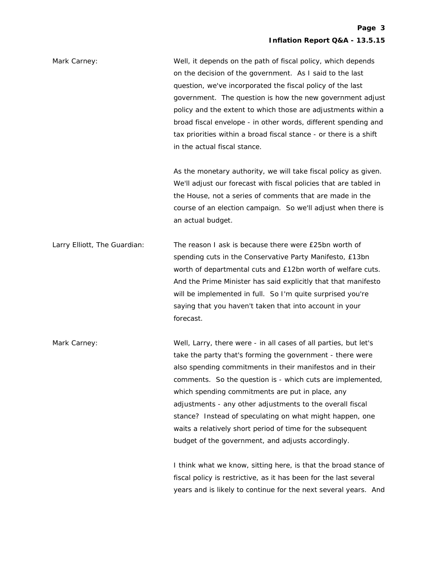| Mark Carney:                 | Well, it depends on the path of fiscal policy, which depends<br>on the decision of the government. As I said to the last<br>question, we've incorporated the fiscal policy of the last<br>government. The question is how the new government adjust<br>policy and the extent to which those are adjustments within a<br>broad fiscal envelope - in other words, different spending and<br>tax priorities within a broad fiscal stance - or there is a shift<br>in the actual fiscal stance.                                                                |
|------------------------------|------------------------------------------------------------------------------------------------------------------------------------------------------------------------------------------------------------------------------------------------------------------------------------------------------------------------------------------------------------------------------------------------------------------------------------------------------------------------------------------------------------------------------------------------------------|
|                              | As the monetary authority, we will take fiscal policy as given.<br>We'll adjust our forecast with fiscal policies that are tabled in<br>the House, not a series of comments that are made in the<br>course of an election campaign. So we'll adjust when there is<br>an actual budget.                                                                                                                                                                                                                                                                     |
| Larry Elliott, The Guardian: | The reason I ask is because there were £25bn worth of<br>spending cuts in the Conservative Party Manifesto, £13bn<br>worth of departmental cuts and £12bn worth of welfare cuts.<br>And the Prime Minister has said explicitly that that manifesto<br>will be implemented in full. So I'm quite surprised you're<br>saying that you haven't taken that into account in your<br>forecast.                                                                                                                                                                   |
| Mark Carney:                 | Well, Larry, there were - in all cases of all parties, but let's<br>take the party that's forming the government - there were<br>also spending commitments in their manifestos and in their<br>comments. So the question is - which cuts are implemented,<br>which spending commitments are put in place, any<br>adjustments - any other adjustments to the overall fiscal<br>stance? Instead of speculating on what might happen, one<br>waits a relatively short period of time for the subsequent<br>budget of the government, and adjusts accordingly. |
|                              | I think what we know, sitting here, is that the broad stance of<br>fiscal policy is restrictive, as it has been for the last several<br>years and is likely to continue for the next several years. And                                                                                                                                                                                                                                                                                                                                                    |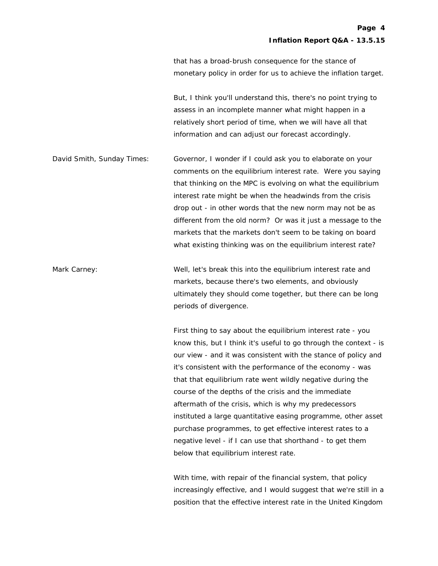that has a broad-brush consequence for the stance of monetary policy in order for us to achieve the inflation target.

 But, I think you'll understand this, there's no point trying to assess in an incomplete manner what might happen in a relatively short period of time, when we will have all that information and can adjust our forecast accordingly.

David Smith, Sunday Times: Governor, I wonder if I could ask you to elaborate on your comments on the equilibrium interest rate. Were you saying that thinking on the MPC is evolving on what the equilibrium interest rate might be when the headwinds from the crisis drop out - in other words that the new norm may not be as different from the old norm? Or was it just a message to the markets that the markets don't seem to be taking on board what existing thinking was on the equilibrium interest rate?

Mark Carney: Well, let's break this into the equilibrium interest rate and markets, because there's two elements, and obviously ultimately they should come together, but there can be long periods of divergence.

> First thing to say about the equilibrium interest rate - you know this, but I think it's useful to go through the context - is our view - and it was consistent with the stance of policy and it's consistent with the performance of the economy - was that that equilibrium rate went wildly negative during the course of the depths of the crisis and the immediate aftermath of the crisis, which is why my predecessors instituted a large quantitative easing programme, other asset purchase programmes, to get effective interest rates to a negative level - if I can use that shorthand - to get them below that equilibrium interest rate.

> With time, with repair of the financial system, that policy increasingly effective, and I would suggest that we're still in a position that the effective interest rate in the United Kingdom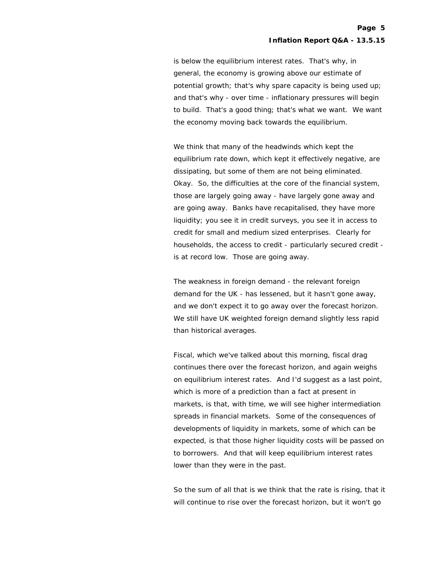is below the equilibrium interest rates. That's why, in general, the economy is growing above our estimate of potential growth; that's why spare capacity is being used up; and that's why - over time - inflationary pressures will begin to build. That's a good thing; that's what we want. We want the economy moving back towards the equilibrium.

 We think that many of the headwinds which kept the equilibrium rate down, which kept it effectively negative, are dissipating, but some of them are not being eliminated. Okay. So, the difficulties at the core of the financial system, those are largely going away - have largely gone away and are going away. Banks have recapitalised, they have more liquidity; you see it in credit surveys, you see it in access to credit for small and medium sized enterprises. Clearly for households, the access to credit - particularly secured credit is at record low. Those are going away.

 The weakness in foreign demand - the relevant foreign demand for the UK - has lessened, but it hasn't gone away, and we don't expect it to go away over the forecast horizon. We still have UK weighted foreign demand slightly less rapid than historical averages.

 Fiscal, which we've talked about this morning, fiscal drag continues there over the forecast horizon, and again weighs on equilibrium interest rates. And I'd suggest as a last point, which is more of a prediction than a fact at present in markets, is that, with time, we will see higher intermediation spreads in financial markets. Some of the consequences of developments of liquidity in markets, some of which can be expected, is that those higher liquidity costs will be passed on to borrowers. And that will keep equilibrium interest rates lower than they were in the past.

 So the sum of all that is we think that the rate is rising, that it will continue to rise over the forecast horizon, but it won't go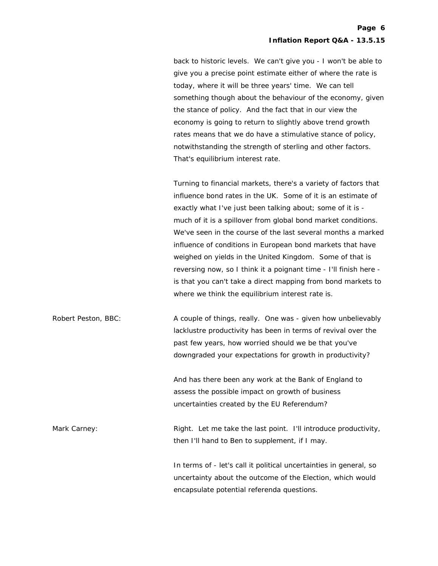back to historic levels. We can't give you - I won't be able to give you a precise point estimate either of where the rate is today, where it will be three years' time. We can tell something though about the behaviour of the economy, given the stance of policy. And the fact that in our view the economy is going to return to slightly above trend growth rates means that we do have a stimulative stance of policy, notwithstanding the strength of sterling and other factors. That's equilibrium interest rate.

 Turning to financial markets, there's a variety of factors that influence bond rates in the UK. Some of it is an estimate of exactly what I've just been talking about; some of it is much of it is a spillover from global bond market conditions. We've seen in the course of the last several months a marked influence of conditions in European bond markets that have weighed on yields in the United Kingdom. Some of that is reversing now, so I think it a poignant time - I'll finish here is that you can't take a direct mapping from bond markets to where we think the equilibrium interest rate is.

Robert Peston, BBC: A couple of things, really. One was - given how unbelievably lacklustre productivity has been in terms of revival over the past few years, how worried should we be that you've downgraded your expectations for growth in productivity?

> And has there been any work at the Bank of England to assess the possible impact on growth of business uncertainties created by the EU Referendum?

Mark Carney: The Right. Let me take the last point. I'll introduce productivity, then I'll hand to Ben to supplement, if I may.

> In terms of - let's call it political uncertainties in general, so uncertainty about the outcome of the Election, which would encapsulate potential referenda questions.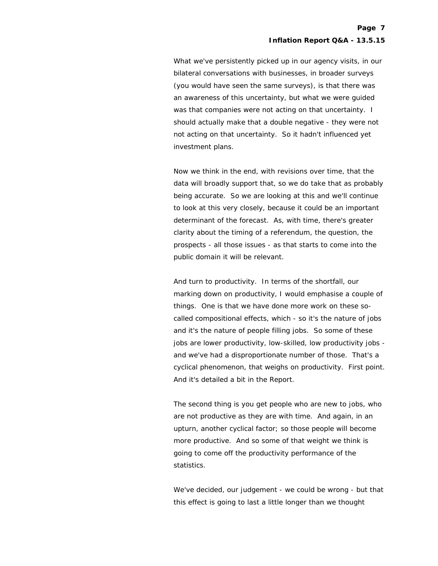What we've persistently picked up in our agency visits, in our bilateral conversations with businesses, in broader surveys (you would have seen the same surveys), is that there was an awareness of this uncertainty, but what we were guided was that companies were not acting on that uncertainty. I should actually make that a double negative - they were not not acting on that uncertainty. So it hadn't influenced yet investment plans.

 Now we think in the end, with revisions over time, that the data will broadly support that, so we do take that as probably being accurate. So we are looking at this and we'll continue to look at this very closely, because it could be an important determinant of the forecast. As, with time, there's greater clarity about the timing of a referendum, the question, the prospects - all those issues - as that starts to come into the public domain it will be relevant.

 And turn to productivity. In terms of the shortfall, our marking down on productivity, I would emphasise a couple of things. One is that we have done more work on these socalled compositional effects, which - so it's the nature of jobs and it's the nature of people filling jobs. So some of these jobs are lower productivity, low-skilled, low productivity jobs and we've had a disproportionate number of those. That's a cyclical phenomenon, that weighs on productivity. First point. And it's detailed a bit in the Report.

 The second thing is you get people who are new to jobs, who are not productive as they are with time. And again, in an upturn, another cyclical factor; so those people will become more productive. And so some of that weight we think is going to come off the productivity performance of the statistics.

 We've decided, our judgement - we could be wrong - but that this effect is going to last a little longer than we thought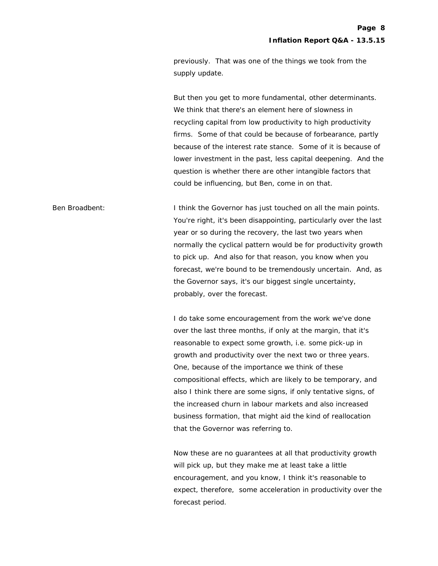previously. That was one of the things we took from the supply update.

 But then you get to more fundamental, other determinants. We think that there's an element here of slowness in recycling capital from low productivity to high productivity firms. Some of that could be because of forbearance, partly because of the interest rate stance. Some of it is because of lower investment in the past, less capital deepening. And the question is whether there are other intangible factors that could be influencing, but Ben, come in on that.

Ben Broadbent: I think the Governor has just touched on all the main points. You're right, it's been disappointing, particularly over the last year or so during the recovery, the last two years when normally the cyclical pattern would be for productivity growth to pick up. And also for that reason, you know when you forecast, we're bound to be tremendously uncertain. And, as the Governor says, it's our biggest single uncertainty, probably, over the forecast.

> I do take some encouragement from the work we've done over the last three months, if only at the margin, that it's reasonable to expect some growth, i.e. some pick-up in growth and productivity over the next two or three years. One, because of the importance we think of these compositional effects, which are likely to be temporary, and also I think there are some signs, if only tentative signs, of the increased churn in labour markets and also increased business formation, that might aid the kind of reallocation that the Governor was referring to.

 Now these are no guarantees at all that productivity growth will pick up, but they make me at least take a little encouragement, and you know, I think it's reasonable to expect, therefore, some acceleration in productivity over the forecast period.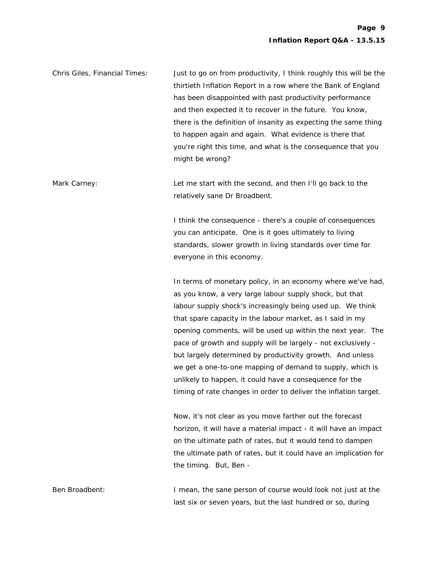| Chris Giles, Financial Times: | Just to go on from productivity, I think roughly this will be the |
|-------------------------------|-------------------------------------------------------------------|
|                               | thirtieth Inflation Report in a row where the Bank of England     |
|                               | has been disappointed with past productivity performance          |
|                               | and then expected it to recover in the future. You know,          |
|                               | there is the definition of insanity as expecting the same thing   |
|                               | to happen again and again. What evidence is there that            |
|                               | you're right this time, and what is the consequence that you      |
|                               | might be wrong?                                                   |
|                               |                                                                   |

Mark Carney: Let me start with the second, and then I'll go back to the relatively sane Dr Broadbent.

> I think the consequence - there's a couple of consequences you can anticipate. One is it goes ultimately to living standards, slower growth in living standards over time for everyone in this economy.

 In terms of monetary policy, in an economy where we've had, as you know, a very large labour supply shock, but that labour supply shock's increasingly being used up. We think that spare capacity in the labour market, as I said in my opening comments, will be used up within the next year. The pace of growth and supply will be largely - not exclusively but largely determined by productivity growth. And unless we get a one-to-one mapping of demand to supply, which is unlikely to happen, it could have a consequence for the timing of rate changes in order to deliver the inflation target.

 Now, it's not clear as you move farther out the forecast horizon, it will have a material impact - it will have an impact on the ultimate path of rates, but it would tend to dampen the ultimate path of rates, but it could have an implication for the timing. But, Ben -

Ben Broadbent: I mean, the sane person of course would look not just at the last six or seven years, but the last hundred or so, during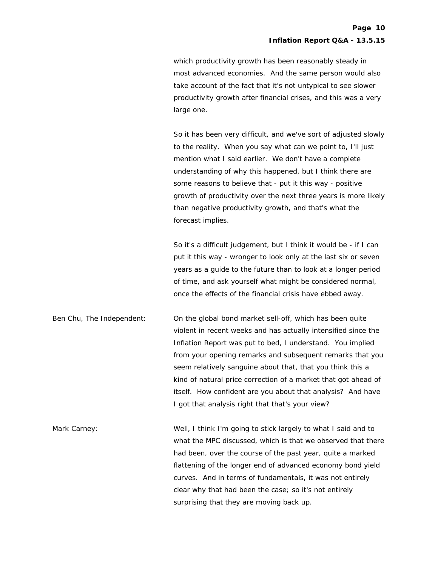which productivity growth has been reasonably steady in most advanced economies. And the same person would also take account of the fact that it's not untypical to see slower productivity growth after financial crises, and this was a very large one.

 So it has been very difficult, and we've sort of adjusted slowly to the reality. When you say what can we point to, I'll just mention what I said earlier. We don't have a complete understanding of why this happened, but I think there are some reasons to believe that - put it this way - positive growth of productivity over the next three years is more likely than negative productivity growth, and that's what the forecast implies.

 So it's a difficult judgement, but I think it would be - if I can put it this way - wronger to look only at the last six or seven years as a guide to the future than to look at a longer period of time, and ask yourself what might be considered normal, once the effects of the financial crisis have ebbed away.

Ben Chu, The Independent: On the global bond market sell-off, which has been quite violent in recent weeks and has actually intensified since the Inflation Report was put to bed, I understand. You implied from your opening remarks and subsequent remarks that you seem relatively sanguine about that, that you think this a kind of natural price correction of a market that got ahead of itself. How confident are you about that analysis? And have I got that analysis right that that's your view?

Mark Carney: Well, I think I'm going to stick largely to what I said and to what the MPC discussed, which is that we observed that there had been, over the course of the past year, quite a marked flattening of the longer end of advanced economy bond yield curves. And in terms of fundamentals, it was not entirely clear why that had been the case; so it's not entirely surprising that they are moving back up.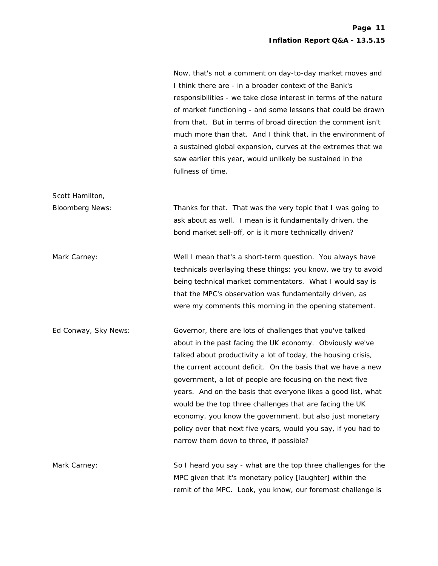Now, that's not a comment on day-to-day market moves and I think there are - in a broader context of the Bank's responsibilities - we take close interest in terms of the nature of market functioning - and some lessons that could be drawn from that. But in terms of broad direction the comment isn't much more than that. And I think that, in the environment of a sustained global expansion, curves at the extremes that we saw earlier this year, would unlikely be sustained in the fullness of time.

Bloomberg News: Thanks for that. That was the very topic that I was going to ask about as well. I mean is it fundamentally driven, the bond market sell-off, or is it more technically driven?

Scott Hamilton,

Mark Carney: Well I mean that's a short-term question. You always have technicals overlaying these things; you know, we try to avoid being technical market commentators. What I would say is that the MPC's observation was fundamentally driven, as were my comments this morning in the opening statement.

Ed Conway, Sky News: Governor, there are lots of challenges that you've talked about in the past facing the UK economy. Obviously we've talked about productivity a lot of today, the housing crisis, the current account deficit. On the basis that we have a new government, a lot of people are focusing on the next five years. And on the basis that everyone likes a good list, what would be the top three challenges that are facing the UK economy, you know the government, but also just monetary policy over that next five years, would you say, if you had to narrow them down to three, if possible?

Mark Carney: So I heard you say - what are the top three challenges for the Mark Carney: MPC given that it's monetary policy [laughter] within the remit of the MPC. Look, you know, our foremost challenge is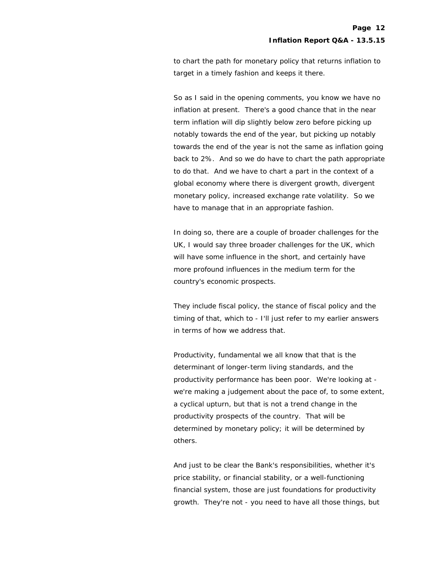to chart the path for monetary policy that returns inflation to target in a timely fashion and keeps it there.

 So as I said in the opening comments, you know we have no inflation at present. There's a good chance that in the near term inflation will dip slightly below zero before picking up notably towards the end of the year, but picking up notably towards the end of the year is not the same as inflation going back to 2%. And so we do have to chart the path appropriate to do that. And we have to chart a part in the context of a global economy where there is divergent growth, divergent monetary policy, increased exchange rate volatility. So we have to manage that in an appropriate fashion.

 In doing so, there are a couple of broader challenges for the UK, I would say three broader challenges for the UK, which will have some influence in the short, and certainly have more profound influences in the medium term for the country's economic prospects.

 They include fiscal policy, the stance of fiscal policy and the timing of that, which to - I'll just refer to my earlier answers in terms of how we address that.

 Productivity, fundamental we all know that that is the determinant of longer-term living standards, and the productivity performance has been poor. We're looking at we're making a judgement about the pace of, to some extent, a cyclical upturn, but that is not a trend change in the productivity prospects of the country. That will be determined by monetary policy; it will be determined by others.

 And just to be clear the Bank's responsibilities, whether it's price stability, or financial stability, or a well-functioning financial system, those are just foundations for productivity growth. They're not - you need to have all those things, but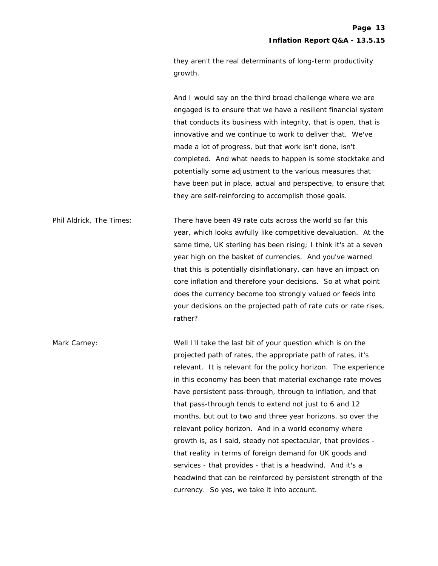they aren't the real determinants of long-term productivity growth.

 And I would say on the third broad challenge where we are engaged is to ensure that we have a resilient financial system that conducts its business with integrity, that is open, that is innovative and we continue to work to deliver that. We've made a lot of progress, but that work isn't done, isn't completed. And what needs to happen is some stocktake and potentially some adjustment to the various measures that have been put in place, actual and perspective, to ensure that they are self-reinforcing to accomplish those goals.

Phil Aldrick, The Times: There have been 49 rate cuts across the world so far this year, which looks awfully like competitive devaluation. At the same time, UK sterling has been rising; I think it's at a seven year high on the basket of currencies. And you've warned that this is potentially disinflationary, can have an impact on core inflation and therefore your decisions. So at what point does the currency become too strongly valued or feeds into your decisions on the projected path of rate cuts or rate rises, rather?

Mark Carney: Well I'll take the last bit of your question which is on the projected path of rates, the appropriate path of rates, it's relevant. It is relevant for the policy horizon. The experience in this economy has been that material exchange rate moves have persistent pass-through, through to inflation, and that that pass-through tends to extend not just to 6 and 12 months, but out to two and three year horizons, so over the relevant policy horizon. And in a world economy where growth is, as I said, steady not spectacular, that provides that reality in terms of foreign demand for UK goods and services - that provides - that is a headwind. And it's a headwind that can be reinforced by persistent strength of the currency. So yes, we take it into account.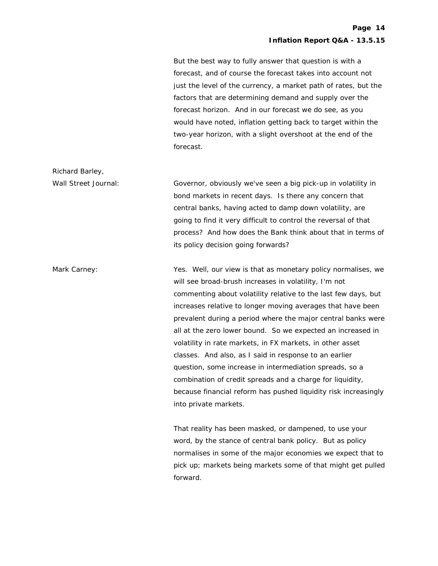But the best way to fully answer that question is with a forecast, and of course the forecast takes into account not just the level of the currency, a market path of rates, but the factors that are determining demand and supply over the forecast horizon. And in our forecast we do see, as you would have noted, inflation getting back to target within the two-year horizon, with a slight overshoot at the end of the forecast.

Wall Street Journal: Governor, obviously we've seen a big pick-up in volatility in bond markets in recent days. Is there any concern that central banks, having acted to damp down volatility, are going to find it very difficult to control the reversal of that process? And how does the Bank think about that in terms of its policy decision going forwards?

Richard Barley,

Mark Carney: Yes. Well, our view is that as monetary policy normalises, we will see broad-brush increases in volatility, I'm not commenting about volatility relative to the last few days, but increases relative to longer moving averages that have been prevalent during a period where the major central banks were all at the zero lower bound. So we expected an increased in volatility in rate markets, in FX markets, in other asset classes. And also, as I said in response to an earlier question, some increase in intermediation spreads, so a combination of credit spreads and a charge for liquidity, because financial reform has pushed liquidity risk increasingly into private markets.

> That reality has been masked, or dampened, to use your word, by the stance of central bank policy. But as policy normalises in some of the major economies we expect that to pick up; markets being markets some of that might get pulled forward.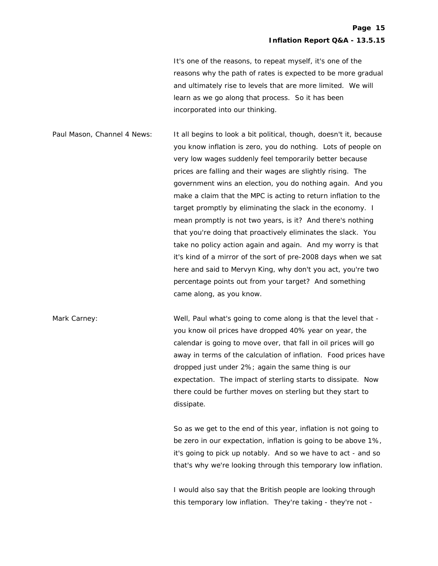It's one of the reasons, to repeat myself, it's one of the reasons why the path of rates is expected to be more gradual and ultimately rise to levels that are more limited. We will learn as we go along that process. So it has been incorporated into our thinking.

Paul Mason, Channel 4 News: It all begins to look a bit political, though, doesn't it, because you know inflation is zero, you do nothing. Lots of people on very low wages suddenly feel temporarily better because prices are falling and their wages are slightly rising. The government wins an election, you do nothing again. And you make a claim that the MPC is acting to return inflation to the target promptly by eliminating the slack in the economy. I mean promptly is not two years, is it? And there's nothing that you're doing that proactively eliminates the slack. You take no policy action again and again. And my worry is that it's kind of a mirror of the sort of pre-2008 days when we sat here and said to Mervyn King, why don't you act, you're two percentage points out from your target? And something came along, as you know.

Mark Carney: Well, Paul what's going to come along is that the level that you know oil prices have dropped 40% year on year, the calendar is going to move over, that fall in oil prices will go away in terms of the calculation of inflation. Food prices have dropped just under 2%; again the same thing is our expectation. The impact of sterling starts to dissipate. Now there could be further moves on sterling but they start to dissipate.

> So as we get to the end of this year, inflation is not going to be zero in our expectation, inflation is going to be above 1%, it's going to pick up notably. And so we have to act - and so that's why we're looking through this temporary low inflation.

 I would also say that the British people are looking through this temporary low inflation. They're taking - they're not -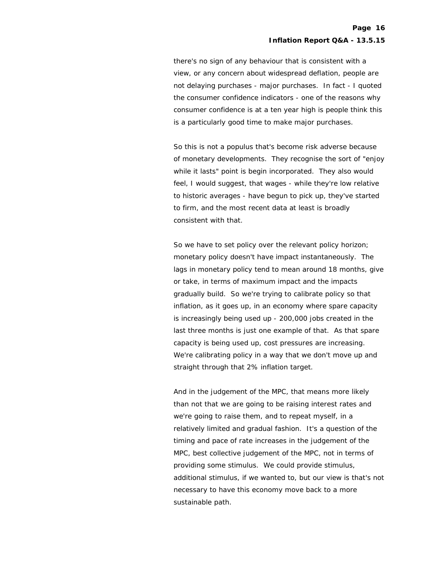there's no sign of any behaviour that is consistent with a view, or any concern about widespread deflation, people are not delaying purchases - major purchases. In fact - I quoted the consumer confidence indicators - one of the reasons why consumer confidence is at a ten year high is people think this is a particularly good time to make major purchases.

 So this is not a populus that's become risk adverse because of monetary developments. They recognise the sort of "enjoy while it lasts" point is begin incorporated. They also would feel, I would suggest, that wages - while they're low relative to historic averages - have begun to pick up, they've started to firm, and the most recent data at least is broadly consistent with that.

 So we have to set policy over the relevant policy horizon; monetary policy doesn't have impact instantaneously. The lags in monetary policy tend to mean around 18 months, give or take, in terms of maximum impact and the impacts gradually build. So we're trying to calibrate policy so that inflation, as it goes up, in an economy where spare capacity is increasingly being used up - 200,000 jobs created in the last three months is just one example of that. As that spare capacity is being used up, cost pressures are increasing. We're calibrating policy in a way that we don't move up and straight through that 2% inflation target.

 And in the judgement of the MPC, that means more likely than not that we are going to be raising interest rates and we're going to raise them, and to repeat myself, in a relatively limited and gradual fashion. It's a question of the timing and pace of rate increases in the judgement of the MPC, best collective judgement of the MPC, not in terms of providing some stimulus. We could provide stimulus, additional stimulus, if we wanted to, but our view is that's not necessary to have this economy move back to a more sustainable path.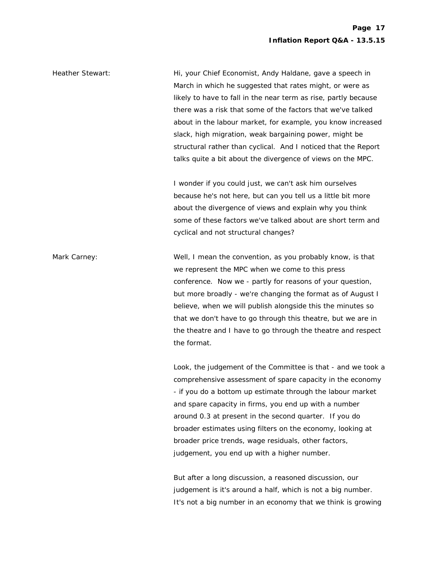Heather Stewart: Hi, your Chief Economist, Andy Haldane, gave a speech in March in which he suggested that rates might, or were as likely to have to fall in the near term as rise, partly because there was a risk that some of the factors that we've talked about in the labour market, for example, you know increased slack, high migration, weak bargaining power, might be structural rather than cyclical. And I noticed that the Report talks quite a bit about the divergence of views on the MPC.

> I wonder if you could just, we can't ask him ourselves because he's not here, but can you tell us a little bit more about the divergence of views and explain why you think some of these factors we've talked about are short term and cyclical and not structural changes?

Mark Carney: Well, I mean the convention, as you probably know, is that we represent the MPC when we come to this press conference. Now we - partly for reasons of your question, but more broadly - we're changing the format as of August I believe, when we will publish alongside this the minutes so that we don't have to go through this theatre, but we are in the theatre and I have to go through the theatre and respect the format.

> Look, the judgement of the Committee is that - and we took a comprehensive assessment of spare capacity in the economy - if you do a bottom up estimate through the labour market and spare capacity in firms, you end up with a number around 0.3 at present in the second quarter. If you do broader estimates using filters on the economy, looking at broader price trends, wage residuals, other factors, judgement, you end up with a higher number.

 But after a long discussion, a reasoned discussion, our judgement is it's around a half, which is not a big number. It's not a big number in an economy that we think is growing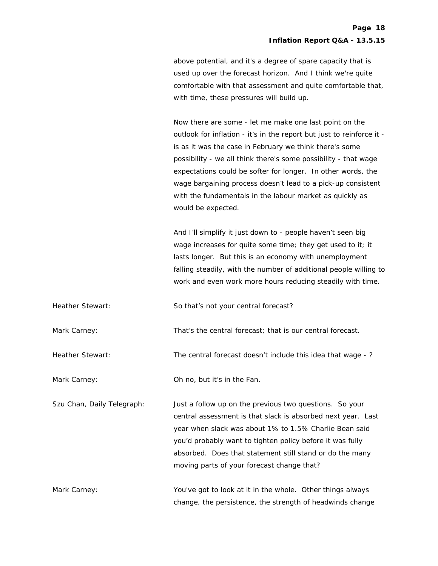above potential, and it's a degree of spare capacity that is used up over the forecast horizon. And I think we're quite comfortable with that assessment and quite comfortable that, with time, these pressures will build up.

 Now there are some - let me make one last point on the outlook for inflation - it's in the report but just to reinforce it is as it was the case in February we think there's some possibility - we all think there's some possibility - that wage expectations could be softer for longer. In other words, the wage bargaining process doesn't lead to a pick-up consistent with the fundamentals in the labour market as quickly as would be expected.

 And I'll simplify it just down to - people haven't seen big wage increases for quite some time; they get used to it; it lasts longer. But this is an economy with unemployment falling steadily, with the number of additional people willing to work and even work more hours reducing steadily with time.

Heather Stewart: So that's not your central forecast?

Mark Carney: That's the central forecast; that is our central forecast.

Heather Stewart: The central forecast doesn't include this idea that wage - ?

Mark Carney:  $\blacksquare$  Oh no, but it's in the Fan.

Szu Chan, Daily Telegraph: Just a follow up on the previous two questions. So your central assessment is that slack is absorbed next year. Last year when slack was about 1% to 1.5% Charlie Bean said you'd probably want to tighten policy before it was fully absorbed. Does that statement still stand or do the many moving parts of your forecast change that?

Mark Carney: You've got to look at it in the whole. Other things always change, the persistence, the strength of headwinds change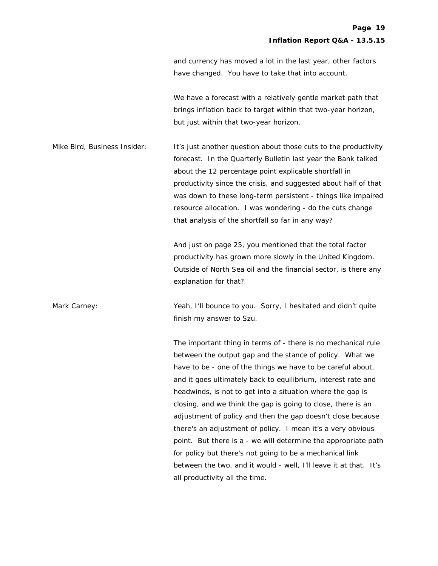and currency has moved a lot in the last year, other factors have changed. You have to take that into account.

 We have a forecast with a relatively gentle market path that brings inflation back to target within that two-year horizon, but just within that two-year horizon.

Mike Bird, Business Insider: It's just another question about those cuts to the productivity forecast. In the Quarterly Bulletin last year the Bank talked about the 12 percentage point explicable shortfall in productivity since the crisis, and suggested about half of that was down to these long-term persistent - things like impaired resource allocation. I was wondering - do the cuts change that analysis of the shortfall so far in any way?

> And just on page 25, you mentioned that the total factor productivity has grown more slowly in the United Kingdom. Outside of North Sea oil and the financial sector, is there any explanation for that?

Mark Carney: **Wark Carney:** Yeah, I'll bounce to you. Sorry, I hesitated and didn't quite finish my answer to Szu.

> The important thing in terms of - there is no mechanical rule between the output gap and the stance of policy. What we have to be - one of the things we have to be careful about, and it goes ultimately back to equilibrium, interest rate and headwinds, is not to get into a situation where the gap is closing, and we think the gap is going to close, there is an adjustment of policy and then the gap doesn't close because there's an adjustment of policy. I mean it's a very obvious point. But there is a - we will determine the appropriate path for policy but there's not going to be a mechanical link between the two, and it would - well, I'll leave it at that. It's all productivity all the time.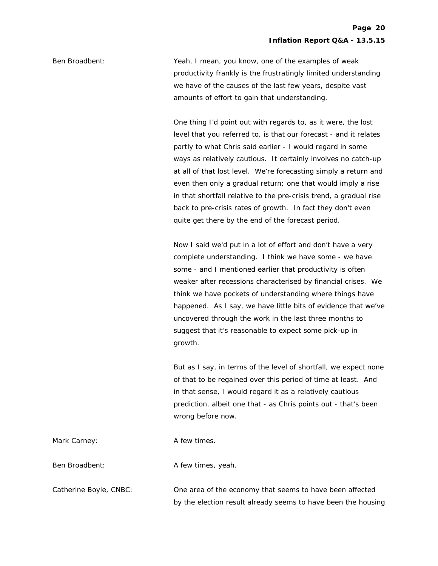Ben Broadbent: Yeah, I mean, you know, one of the examples of weak productivity frankly is the frustratingly limited understanding we have of the causes of the last few years, despite vast amounts of effort to gain that understanding.

> One thing I'd point out with regards to, as it were, the lost level that you referred to, is that our forecast - and it relates partly to what Chris said earlier - I would regard in some ways as relatively cautious. It certainly involves no catch-up at all of that lost level. We're forecasting simply a return and even then only a gradual return; one that would imply a rise in that shortfall relative to the pre-crisis trend, a gradual rise back to pre-crisis rates of growth. In fact they don't even quite get there by the end of the forecast period.

> Now I said we'd put in a lot of effort and don't have a very complete understanding. I think we have some - we have some - and I mentioned earlier that productivity is often weaker after recessions characterised by financial crises. We think we have pockets of understanding where things have happened. As I say, we have little bits of evidence that we've uncovered through the work in the last three months to suggest that it's reasonable to expect some pick-up in growth.

> But as I say, in terms of the level of shortfall, we expect none of that to be regained over this period of time at least. And in that sense, I would regard it as a relatively cautious prediction, albeit one that - as Chris points out - that's been wrong before now.

> by the election result already seems to have been the housing

| Mark Carney:           | A few times.                                             |
|------------------------|----------------------------------------------------------|
| Ben Broadbent:         | A few times, yeah.                                       |
| Catherine Boyle, CNBC: | One area of the economy that seems to have been affected |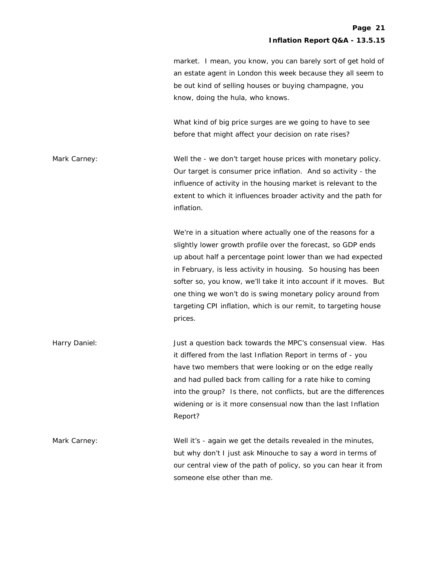market. I mean, you know, you can barely sort of get hold of an estate agent in London this week because they all seem to be out kind of selling houses or buying champagne, you know, doing the hula, who knows.

 What kind of big price surges are we going to have to see before that might affect your decision on rate rises?

Mark Carney: **Well the - we don't target house prices with monetary policy.** Our target is consumer price inflation. And so activity - the influence of activity in the housing market is relevant to the extent to which it influences broader activity and the path for inflation.

> We're in a situation where actually one of the reasons for a slightly lower growth profile over the forecast, so GDP ends up about half a percentage point lower than we had expected in February, is less activity in housing. So housing has been softer so, you know, we'll take it into account if it moves. But one thing we won't do is swing monetary policy around from targeting CPI inflation, which is our remit, to targeting house prices.

Harry Daniel: Just a question back towards the MPC's consensual view. Has it differed from the last Inflation Report in terms of - you have two members that were looking or on the edge really and had pulled back from calling for a rate hike to coming into the group? Is there, not conflicts, but are the differences widening or is it more consensual now than the last Inflation Report?

Mark Carney: Well it's - again we get the details revealed in the minutes, but why don't I just ask Minouche to say a word in terms of our central view of the path of policy, so you can hear it from someone else other than me.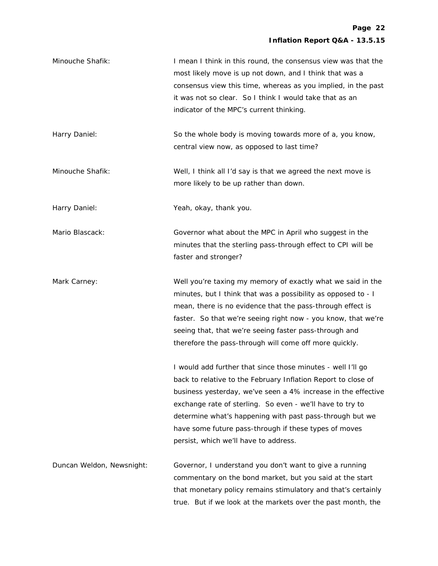| Minouche Shafik:          | I mean I think in this round, the consensus view was that the<br>most likely move is up not down, and I think that was a<br>consensus view this time, whereas as you implied, in the past<br>it was not so clear. So I think I would take that as an<br>indicator of the MPC's current thinking.                                                                                                                         |
|---------------------------|--------------------------------------------------------------------------------------------------------------------------------------------------------------------------------------------------------------------------------------------------------------------------------------------------------------------------------------------------------------------------------------------------------------------------|
| Harry Daniel:             | So the whole body is moving towards more of a, you know,<br>central view now, as opposed to last time?                                                                                                                                                                                                                                                                                                                   |
| Minouche Shafik:          | Well, I think all I'd say is that we agreed the next move is<br>more likely to be up rather than down.                                                                                                                                                                                                                                                                                                                   |
| Harry Daniel:             | Yeah, okay, thank you.                                                                                                                                                                                                                                                                                                                                                                                                   |
| Mario Blascack:           | Governor what about the MPC in April who suggest in the<br>minutes that the sterling pass-through effect to CPI will be<br>faster and stronger?                                                                                                                                                                                                                                                                          |
| Mark Carney:              | Well you're taxing my memory of exactly what we said in the<br>minutes, but I think that was a possibility as opposed to - I<br>mean, there is no evidence that the pass-through effect is<br>faster. So that we're seeing right now - you know, that we're<br>seeing that, that we're seeing faster pass-through and<br>therefore the pass-through will come off more quickly.                                          |
|                           | I would add further that since those minutes - well I'll go<br>back to relative to the February Inflation Report to close of<br>business yesterday, we've seen a 4% increase in the effective<br>exchange rate of sterling. So even - we'll have to try to<br>determine what's happening with past pass-through but we<br>have some future pass-through if these types of moves<br>persist, which we'll have to address. |
| Duncan Weldon, Newsnight: | Governor, I understand you don't want to give a running<br>commentary on the bond market, but you said at the start<br>that monetary policy remains stimulatory and that's certainly<br>true. But if we look at the markets over the past month, the                                                                                                                                                                     |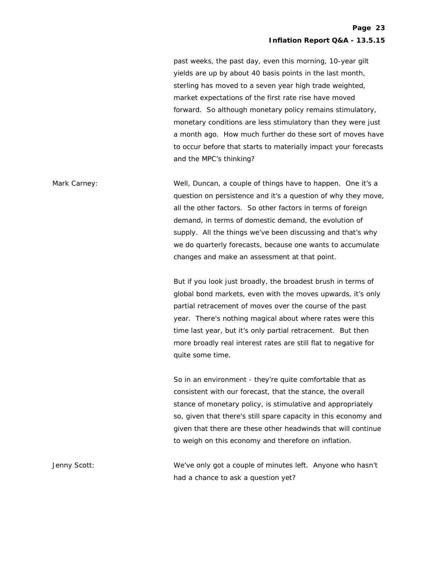past weeks, the past day, even this morning, 10-year gilt yields are up by about 40 basis points in the last month, sterling has moved to a seven year high trade weighted, market expectations of the first rate rise have moved forward. So although monetary policy remains stimulatory, monetary conditions are less stimulatory than they were just a month ago. How much further do these sort of moves have to occur before that starts to materially impact your forecasts and the MPC's thinking?

Mark Carney: Well, Duncan, a couple of things have to happen. One it's a question on persistence and it's a question of why they move, all the other factors. So other factors in terms of foreign demand, in terms of domestic demand, the evolution of supply. All the things we've been discussing and that's why we do quarterly forecasts, because one wants to accumulate changes and make an assessment at that point.

> But if you look just broadly, the broadest brush in terms of global bond markets, even with the moves upwards, it's only partial retracement of moves over the course of the past year. There's nothing magical about where rates were this time last year, but it's only partial retracement. But then more broadly real interest rates are still flat to negative for quite some time.

> So in an environment - they're quite comfortable that as consistent with our forecast, that the stance, the overall stance of monetary policy, is stimulative and appropriately so, given that there's still spare capacity in this economy and given that there are these other headwinds that will continue to weigh on this economy and therefore on inflation.

Jenny Scott: We've only got a couple of minutes left. Anyone who hasn't had a chance to ask a question yet?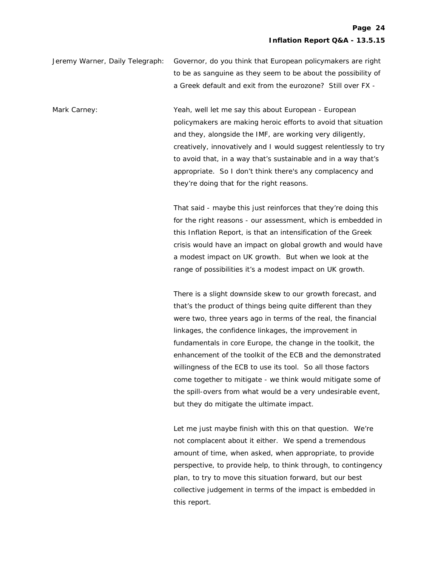Jeremy Warner, Daily Telegraph: Governor, do you think that European policymakers are right to be as sanguine as they seem to be about the possibility of a Greek default and exit from the eurozone? Still over FX -

Mark Carney: Yeah, well let me say this about European - European policymakers are making heroic efforts to avoid that situation and they, alongside the IMF, are working very diligently, creatively, innovatively and I would suggest relentlessly to try to avoid that, in a way that's sustainable and in a way that's appropriate. So I don't think there's any complacency and they're doing that for the right reasons.

> That said - maybe this just reinforces that they're doing this for the right reasons - our assessment, which is embedded in this Inflation Report, is that an intensification of the Greek crisis would have an impact on global growth and would have a modest impact on UK growth. But when we look at the range of possibilities it's a modest impact on UK growth.

 There is a slight downside skew to our growth forecast, and that's the product of things being quite different than they were two, three years ago in terms of the real, the financial linkages, the confidence linkages, the improvement in fundamentals in core Europe, the change in the toolkit, the enhancement of the toolkit of the ECB and the demonstrated willingness of the ECB to use its tool. So all those factors come together to mitigate - we think would mitigate some of the spill-overs from what would be a very undesirable event, but they do mitigate the ultimate impact.

 Let me just maybe finish with this on that question. We're not complacent about it either. We spend a tremendous amount of time, when asked, when appropriate, to provide perspective, to provide help, to think through, to contingency plan, to try to move this situation forward, but our best collective judgement in terms of the impact is embedded in this report.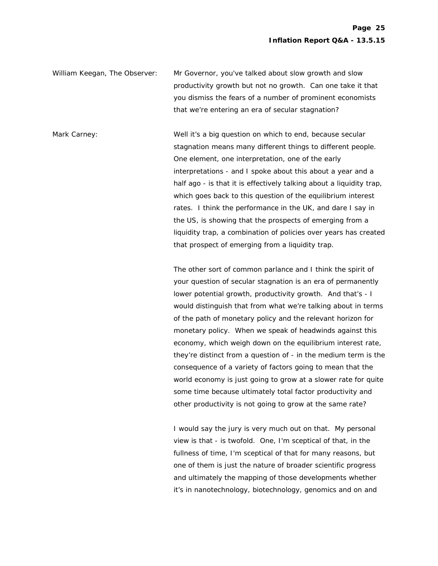William Keegan, The Observer: Mr Governor, you've talked about slow growth and slow productivity growth but not no growth. Can one take it that you dismiss the fears of a number of prominent economists that we're entering an era of secular stagnation?

Mark Carney: **Well it's a big question on which to end, because secular** stagnation means many different things to different people. One element, one interpretation, one of the early interpretations - and I spoke about this about a year and a half ago - is that it is effectively talking about a liquidity trap, which goes back to this question of the equilibrium interest rates. I think the performance in the UK, and dare I say in the US, is showing that the prospects of emerging from a liquidity trap, a combination of policies over years has created that prospect of emerging from a liquidity trap.

> The other sort of common parlance and I think the spirit of your question of secular stagnation is an era of permanently lower potential growth, productivity growth. And that's - I would distinguish that from what we're talking about in terms of the path of monetary policy and the relevant horizon for monetary policy. When we speak of headwinds against this economy, which weigh down on the equilibrium interest rate, they're distinct from a question of - in the medium term is the consequence of a variety of factors going to mean that the world economy is just going to grow at a slower rate for quite some time because ultimately total factor productivity and other productivity is not going to grow at the same rate?

 I would say the jury is very much out on that. My personal view is that - is twofold. One, I'm sceptical of that, in the fullness of time, I'm sceptical of that for many reasons, but one of them is just the nature of broader scientific progress and ultimately the mapping of those developments whether it's in nanotechnology, biotechnology, genomics and on and